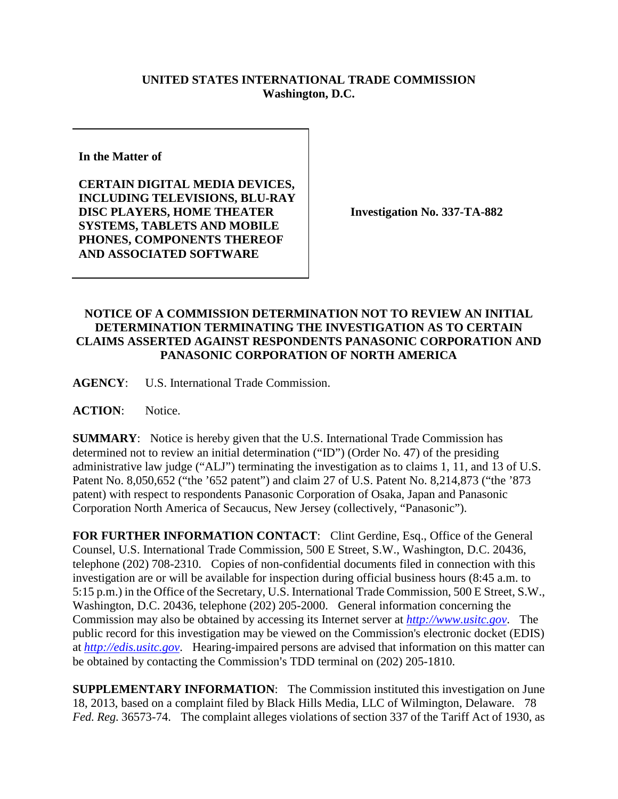## **UNITED STATES INTERNATIONAL TRADE COMMISSION Washington, D.C.**

**In the Matter of** 

**CERTAIN DIGITAL MEDIA DEVICES, INCLUDING TELEVISIONS, BLU-RAY DISC PLAYERS, HOME THEATER SYSTEMS, TABLETS AND MOBILE PHONES, COMPONENTS THEREOF AND ASSOCIATED SOFTWARE**

**Investigation No. 337-TA-882**

## **NOTICE OF A COMMISSION DETERMINATION NOT TO REVIEW AN INITIAL DETERMINATION TERMINATING THE INVESTIGATION AS TO CERTAIN CLAIMS ASSERTED AGAINST RESPONDENTS PANASONIC CORPORATION AND PANASONIC CORPORATION OF NORTH AMERICA**

**AGENCY**: U.S. International Trade Commission.

**ACTION**: Notice.

**SUMMARY**: Notice is hereby given that the U.S. International Trade Commission has determined not to review an initial determination ("ID") (Order No. 47) of the presiding administrative law judge ("ALJ") terminating the investigation as to claims 1, 11, and 13 of U.S. Patent No. 8,050,652 ("the '652 patent") and claim 27 of U.S. Patent No. 8,214,873 ("the '873 patent) with respect to respondents Panasonic Corporation of Osaka, Japan and Panasonic Corporation North America of Secaucus, New Jersey (collectively, "Panasonic").

FOR FURTHER INFORMATION CONTACT: Clint Gerdine, Esq., Office of the General Counsel, U.S. International Trade Commission, 500 E Street, S.W., Washington, D.C. 20436, telephone (202) 708-2310. Copies of non-confidential documents filed in connection with this investigation are or will be available for inspection during official business hours (8:45 a.m. to 5:15 p.m.) in the Office of the Secretary, U.S. International Trade Commission, 500 E Street, S.W., Washington, D.C. 20436, telephone (202) 205-2000. General information concerning the Commission may also be obtained by accessing its Internet server at *[http://www.usitc.gov](http://www.usitc.gov/)*. The public record for this investigation may be viewed on the Commission's electronic docket (EDIS) at *[http://edis.usitc.gov](http://edis.usitc.gov/)*. Hearing-impaired persons are advised that information on this matter can be obtained by contacting the Commission's TDD terminal on (202) 205-1810.

**SUPPLEMENTARY INFORMATION**: The Commission instituted this investigation on June 18, 2013, based on a complaint filed by Black Hills Media, LLC of Wilmington, Delaware. 78 *Fed. Reg.* 36573-74. The complaint alleges violations of section 337 of the Tariff Act of 1930, as